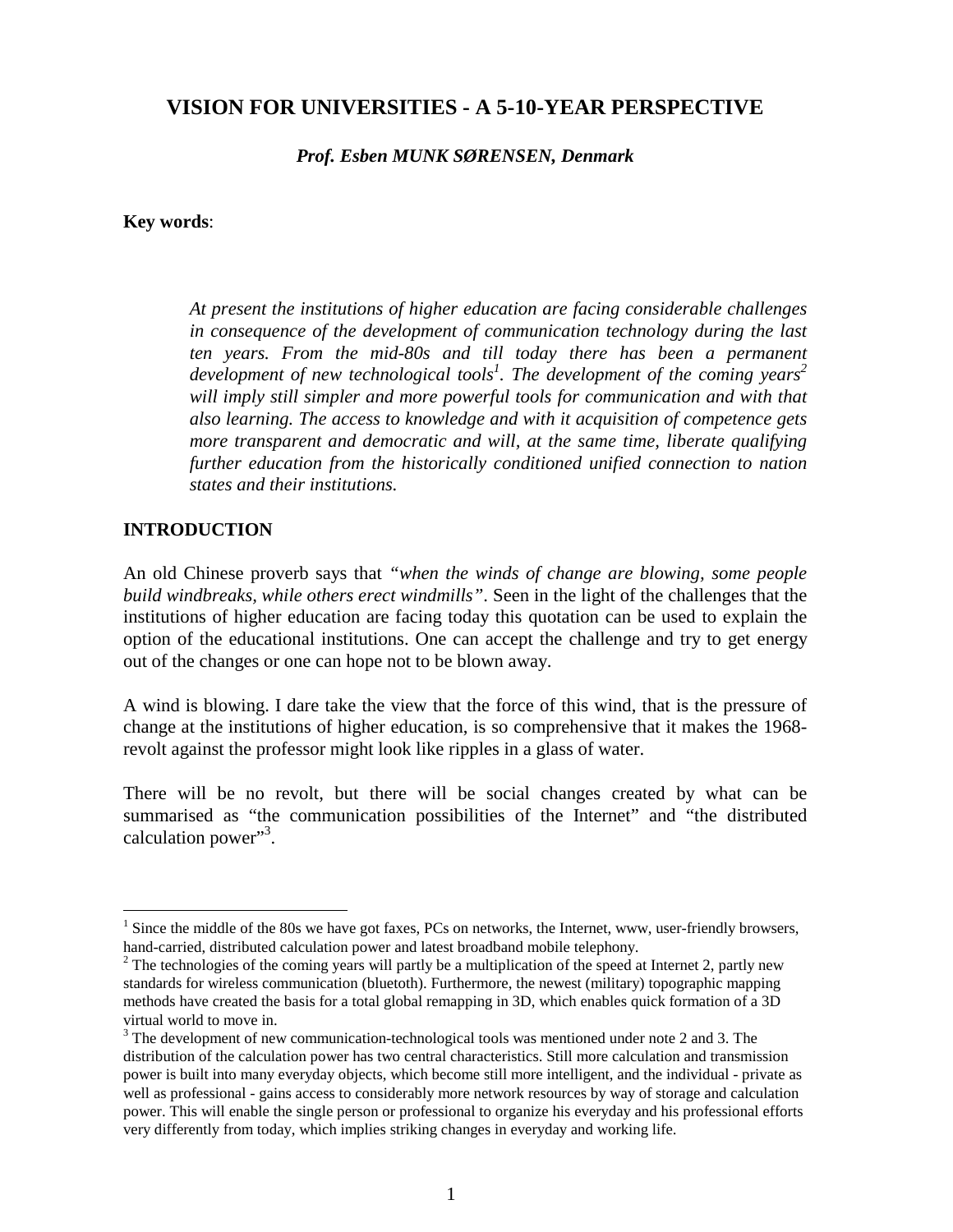# **VISION FOR UNIVERSITIES - A 5-10-YEAR PERSPECTIVE**

*Prof. Esben MUNK SØRENSEN, Denmark*

#### **Key words**:

*At present the institutions of higher education are facing considerable challenges in consequence of the development of communication technology during the last ten years. From the mid-80s and till today there has been a permanent* development of new technological tools<sup>1</sup>. The development of the coming years<sup>2</sup> *will imply still simpler and more powerful tools for communication and with that also learning. The access to knowledge and with it acquisition of competence gets more transparent and democratic and will, at the same time, liberate qualifying further education from the historically conditioned unified connection to nation states and their institutions.*

#### **INTRODUCTION**

 $\overline{a}$ 

An old Chinese proverb says that *"when the winds of change are blowing, some people build windbreaks, while others erect windmills"*. Seen in the light of the challenges that the institutions of higher education are facing today this quotation can be used to explain the option of the educational institutions. One can accept the challenge and try to get energy out of the changes or one can hope not to be blown away.

A wind is blowing. I dare take the view that the force of this wind, that is the pressure of change at the institutions of higher education, is so comprehensive that it makes the 1968 revolt against the professor might look like ripples in a glass of water.

There will be no revolt, but there will be social changes created by what can be summarised as "the communication possibilities of the Internet" and "the distributed calculation power"<sup>3</sup>.

 $<sup>1</sup>$  Since the middle of the 80s we have got faxes, PCs on networks, the Internet, www, user-friendly browsers,</sup> hand-carried, distributed calculation power and latest broadband mobile telephony.

 $2^2$  The technologies of the coming years will partly be a multiplication of the speed at Internet 2, partly new standards for wireless communication (bluetoth). Furthermore, the newest (military) topographic mapping methods have created the basis for a total global remapping in 3D, which enables quick formation of a 3D virtual world to move in.

 $3$  The development of new communication-technological tools was mentioned under note 2 and 3. The distribution of the calculation power has two central characteristics. Still more calculation and transmission power is built into many everyday objects, which become still more intelligent, and the individual - private as well as professional - gains access to considerably more network resources by way of storage and calculation power. This will enable the single person or professional to organize his everyday and his professional efforts very differently from today, which implies striking changes in everyday and working life.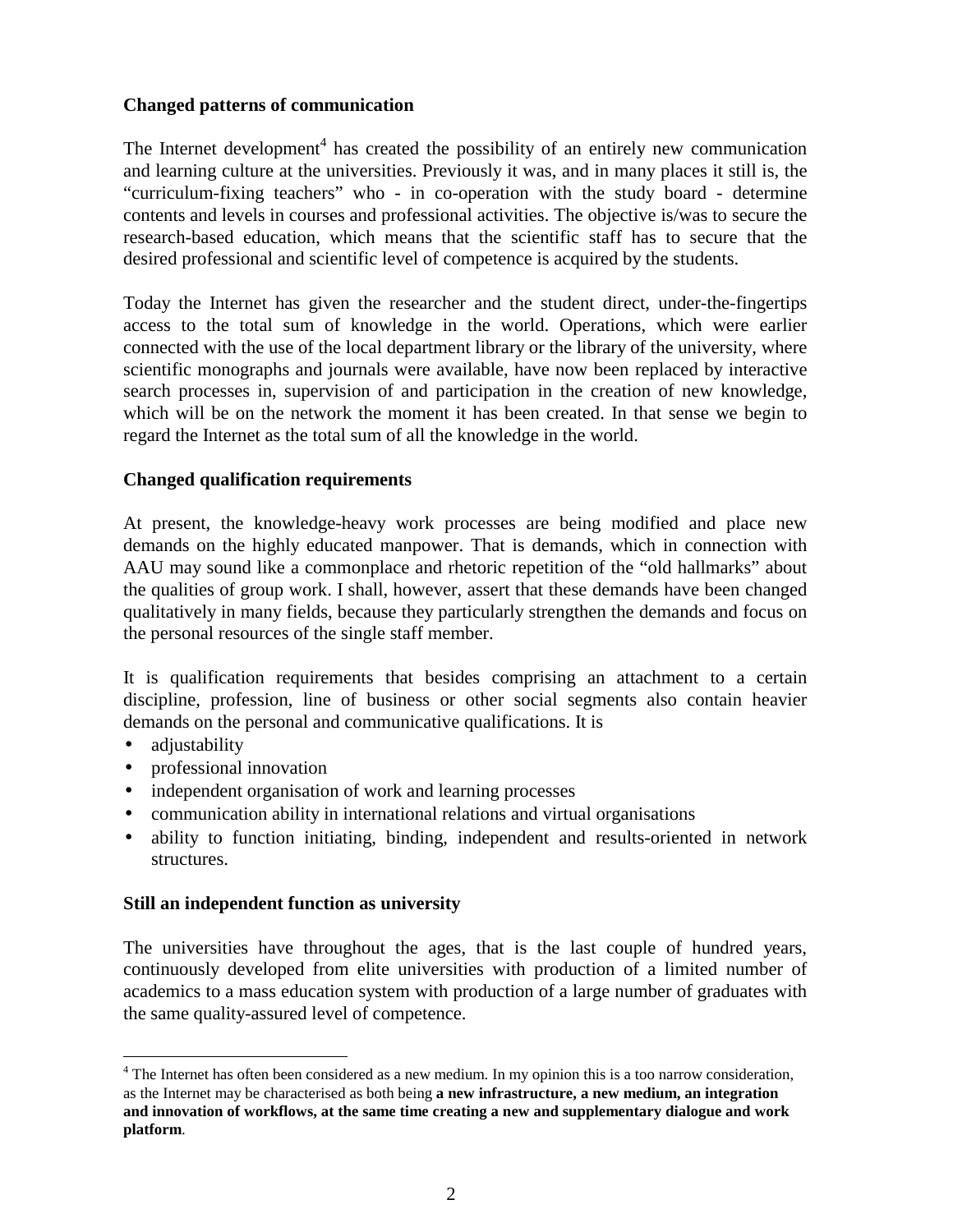# **Changed patterns of communication**

The Internet development<sup>4</sup> has created the possibility of an entirely new communication and learning culture at the universities. Previously it was, and in many places it still is, the "curriculum-fixing teachers" who - in co-operation with the study board - determine contents and levels in courses and professional activities. The objective is/was to secure the research-based education, which means that the scientific staff has to secure that the desired professional and scientific level of competence is acquired by the students.

Today the Internet has given the researcher and the student direct, under-the-fingertips access to the total sum of knowledge in the world. Operations, which were earlier connected with the use of the local department library or the library of the university, where scientific monographs and journals were available, have now been replaced by interactive search processes in, supervision of and participation in the creation of new knowledge, which will be on the network the moment it has been created. In that sense we begin to regard the Internet as the total sum of all the knowledge in the world.

# **Changed qualification requirements**

At present, the knowledge-heavy work processes are being modified and place new demands on the highly educated manpower. That is demands, which in connection with AAU may sound like a commonplace and rhetoric repetition of the "old hallmarks" about the qualities of group work. I shall, however, assert that these demands have been changed qualitatively in many fields, because they particularly strengthen the demands and focus on the personal resources of the single staff member.

It is qualification requirements that besides comprising an attachment to a certain discipline, profession, line of business or other social segments also contain heavier demands on the personal and communicative qualifications. It is

• adjustability

 $\overline{a}$ 

- professional innovation
- independent organisation of work and learning processes
- communication ability in international relations and virtual organisations
- ability to function initiating, binding, independent and results-oriented in network structures.

### **Still an independent function as university**

The universities have throughout the ages, that is the last couple of hundred years, continuously developed from elite universities with production of a limited number of academics to a mass education system with production of a large number of graduates with the same quality-assured level of competence.

<sup>&</sup>lt;sup>4</sup> The Internet has often been considered as a new medium. In my opinion this is a too narrow consideration, as the Internet may be characterised as both being **a new infrastructure, a new medium, an integration and innovation of workflows, at the same time creating a new and supplementary dialogue and work platform**.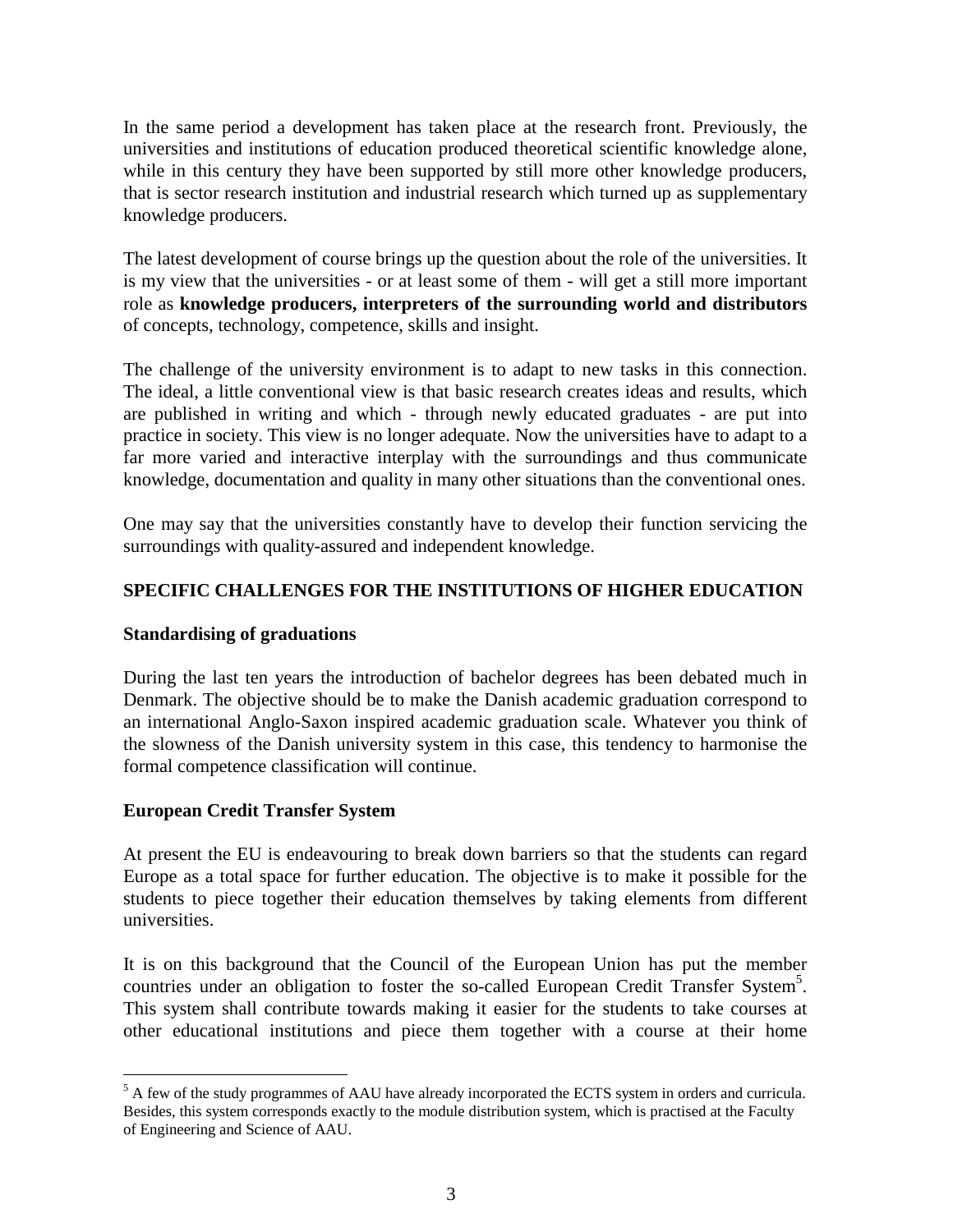In the same period a development has taken place at the research front. Previously, the universities and institutions of education produced theoretical scientific knowledge alone, while in this century they have been supported by still more other knowledge producers, that is sector research institution and industrial research which turned up as supplementary knowledge producers.

The latest development of course brings up the question about the role of the universities. It is my view that the universities - or at least some of them - will get a still more important role as **knowledge producers, interpreters of the surrounding world and distributors** of concepts, technology, competence, skills and insight.

The challenge of the university environment is to adapt to new tasks in this connection. The ideal, a little conventional view is that basic research creates ideas and results, which are published in writing and which - through newly educated graduates - are put into practice in society. This view is no longer adequate. Now the universities have to adapt to a far more varied and interactive interplay with the surroundings and thus communicate knowledge, documentation and quality in many other situations than the conventional ones.

One may say that the universities constantly have to develop their function servicing the surroundings with quality-assured and independent knowledge.

# **SPECIFIC CHALLENGES FOR THE INSTITUTIONS OF HIGHER EDUCATION**

#### **Standardising of graduations**

During the last ten years the introduction of bachelor degrees has been debated much in Denmark. The objective should be to make the Danish academic graduation correspond to an international Anglo-Saxon inspired academic graduation scale. Whatever you think of the slowness of the Danish university system in this case, this tendency to harmonise the formal competence classification will continue.

### **European Credit Transfer System**

 $\overline{a}$ 

At present the EU is endeavouring to break down barriers so that the students can regard Europe as a total space for further education. The objective is to make it possible for the students to piece together their education themselves by taking elements from different universities.

It is on this background that the Council of the European Union has put the member countries under an obligation to foster the so-called European Credit Transfer System<sup>5</sup>. This system shall contribute towards making it easier for the students to take courses at other educational institutions and piece them together with a course at their home

 $<sup>5</sup>$  A few of the study programmes of AAU have already incorporated the ECTS system in orders and curricula.</sup> Besides, this system corresponds exactly to the module distribution system, which is practised at the Faculty of Engineering and Science of AAU.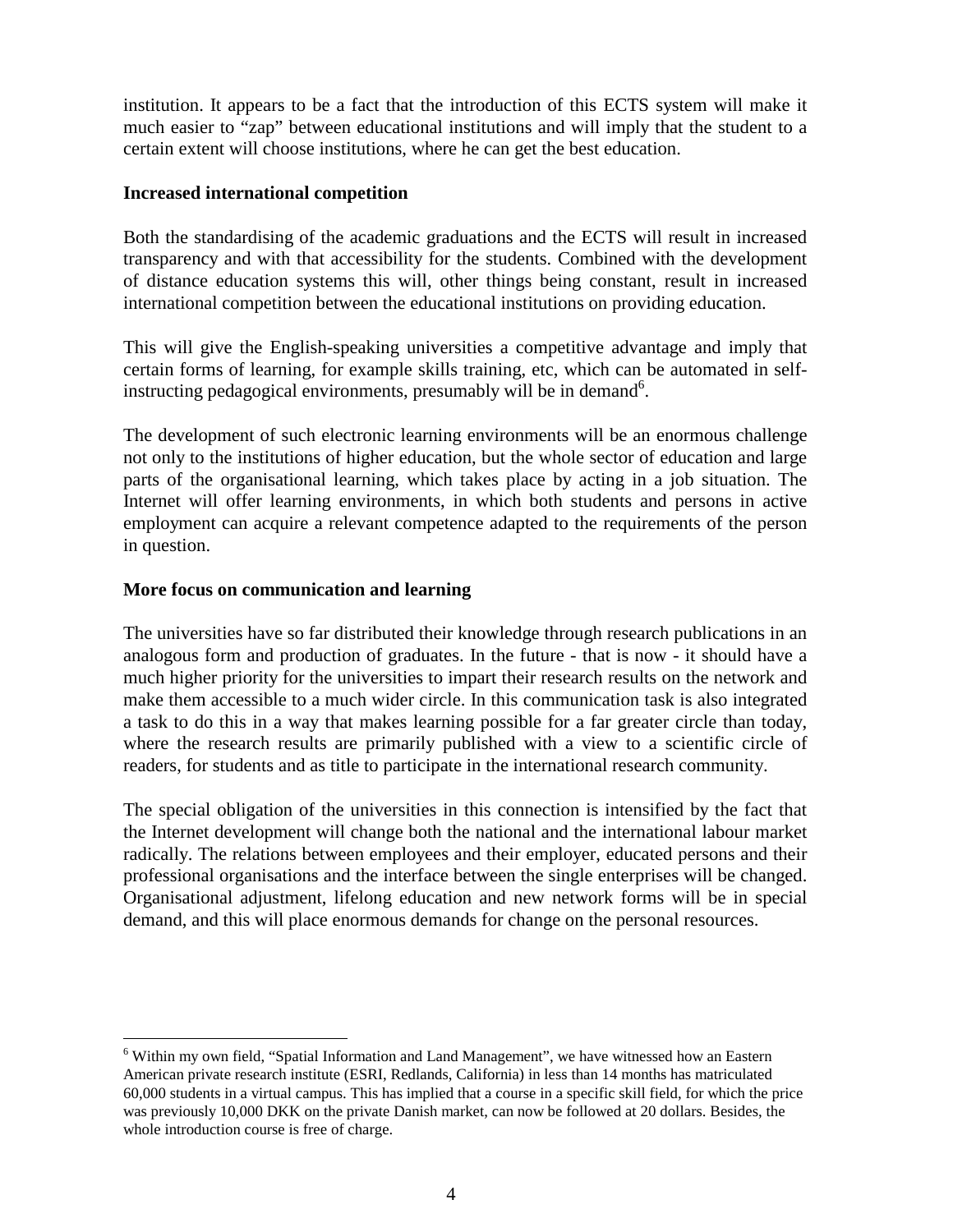institution. It appears to be a fact that the introduction of this ECTS system will make it much easier to "zap" between educational institutions and will imply that the student to a certain extent will choose institutions, where he can get the best education.

### **Increased international competition**

Both the standardising of the academic graduations and the ECTS will result in increased transparency and with that accessibility for the students. Combined with the development of distance education systems this will, other things being constant, result in increased international competition between the educational institutions on providing education.

This will give the English-speaking universities a competitive advantage and imply that certain forms of learning, for example skills training, etc, which can be automated in selfinstructing pedagogical environments, presumably will be in demand<sup>6</sup>.

The development of such electronic learning environments will be an enormous challenge not only to the institutions of higher education, but the whole sector of education and large parts of the organisational learning, which takes place by acting in a job situation. The Internet will offer learning environments, in which both students and persons in active employment can acquire a relevant competence adapted to the requirements of the person in question.

### **More focus on communication and learning**

 $\overline{a}$ 

The universities have so far distributed their knowledge through research publications in an analogous form and production of graduates. In the future - that is now - it should have a much higher priority for the universities to impart their research results on the network and make them accessible to a much wider circle. In this communication task is also integrated a task to do this in a way that makes learning possible for a far greater circle than today, where the research results are primarily published with a view to a scientific circle of readers, for students and as title to participate in the international research community.

The special obligation of the universities in this connection is intensified by the fact that the Internet development will change both the national and the international labour market radically. The relations between employees and their employer, educated persons and their professional organisations and the interface between the single enterprises will be changed. Organisational adjustment, lifelong education and new network forms will be in special demand, and this will place enormous demands for change on the personal resources.

<sup>&</sup>lt;sup>6</sup> Within my own field, "Spatial Information and Land Management", we have witnessed how an Eastern American private research institute (ESRI, Redlands, California) in less than 14 months has matriculated 60,000 students in a virtual campus. This has implied that a course in a specific skill field, for which the price was previously 10,000 DKK on the private Danish market, can now be followed at 20 dollars. Besides, the whole introduction course is free of charge.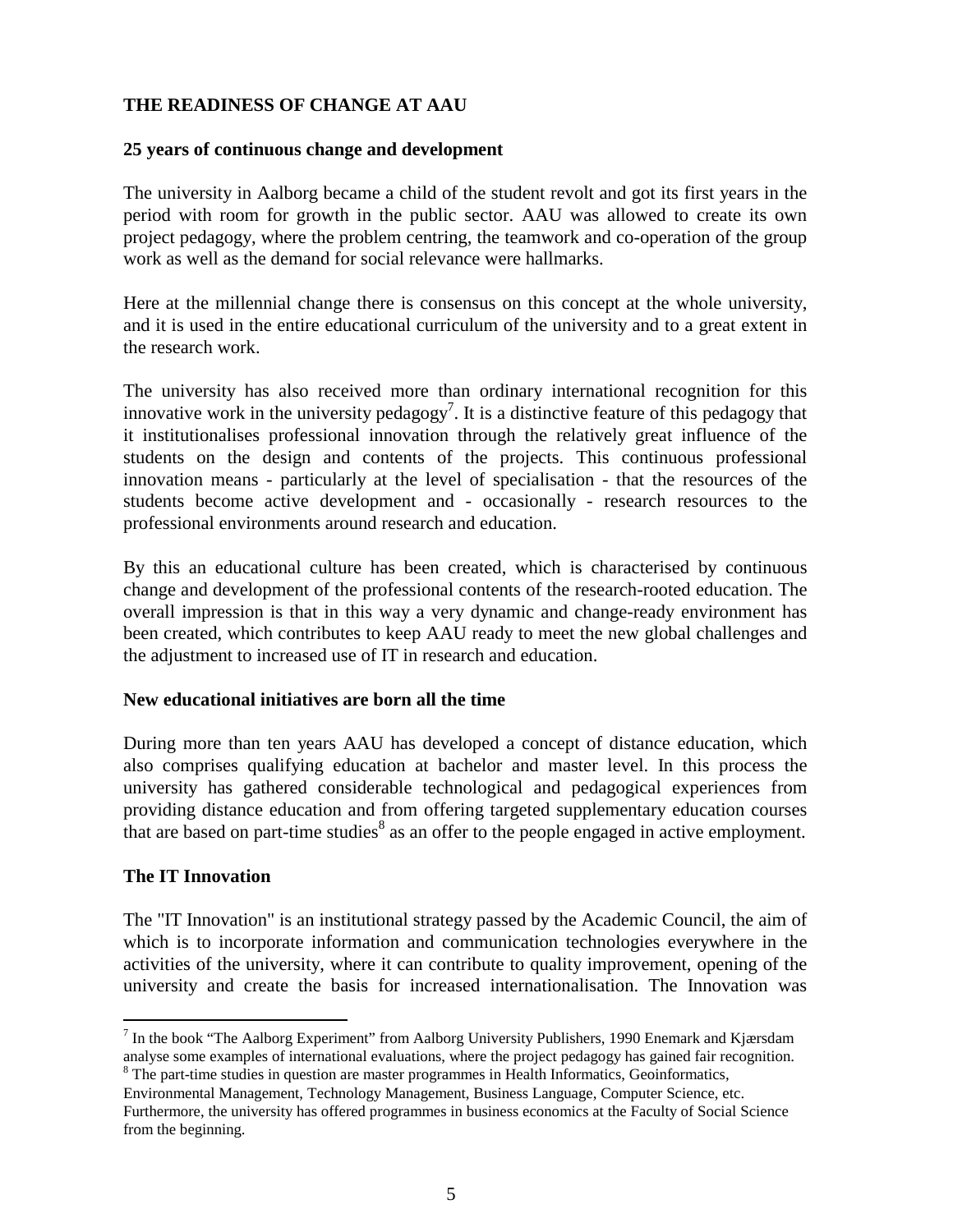# **THE READINESS OF CHANGE AT AAU**

### **25 years of continuous change and development**

The university in Aalborg became a child of the student revolt and got its first years in the period with room for growth in the public sector. AAU was allowed to create its own project pedagogy, where the problem centring, the teamwork and co-operation of the group work as well as the demand for social relevance were hallmarks.

Here at the millennial change there is consensus on this concept at the whole university, and it is used in the entire educational curriculum of the university and to a great extent in the research work.

The university has also received more than ordinary international recognition for this innovative work in the university pedagogy<sup>7</sup>. It is a distinctive feature of this pedagogy that it institutionalises professional innovation through the relatively great influence of the students on the design and contents of the projects. This continuous professional innovation means - particularly at the level of specialisation - that the resources of the students become active development and - occasionally - research resources to the professional environments around research and education.

By this an educational culture has been created, which is characterised by continuous change and development of the professional contents of the research-rooted education. The overall impression is that in this way a very dynamic and change-ready environment has been created, which contributes to keep AAU ready to meet the new global challenges and the adjustment to increased use of IT in research and education.

#### **New educational initiatives are born all the time**

During more than ten years AAU has developed a concept of distance education, which also comprises qualifying education at bachelor and master level. In this process the university has gathered considerable technological and pedagogical experiences from providing distance education and from offering targeted supplementary education courses that are based on part-time studies $\delta$  as an offer to the people engaged in active employment.

### **The IT Innovation**

 $\overline{a}$ 

The "IT Innovation" is an institutional strategy passed by the Academic Council, the aim of which is to incorporate information and communication technologies everywhere in the activities of the university, where it can contribute to quality improvement, opening of the university and create the basis for increased internationalisation. The Innovation was

<sup>&</sup>lt;sup>7</sup> In the book "The Aalborg Experiment" from Aalborg University Publishers, 1990 Enemark and Kjærsdam analyse some examples of international evaluations, where the project pedagogy has gained fair recognition.  $8$  The part-time studies in question are master programmes in Health Informatics, Geoinformatics,

Environmental Management, Technology Management, Business Language, Computer Science, etc.

Furthermore, the university has offered programmes in business economics at the Faculty of Social Science from the beginning.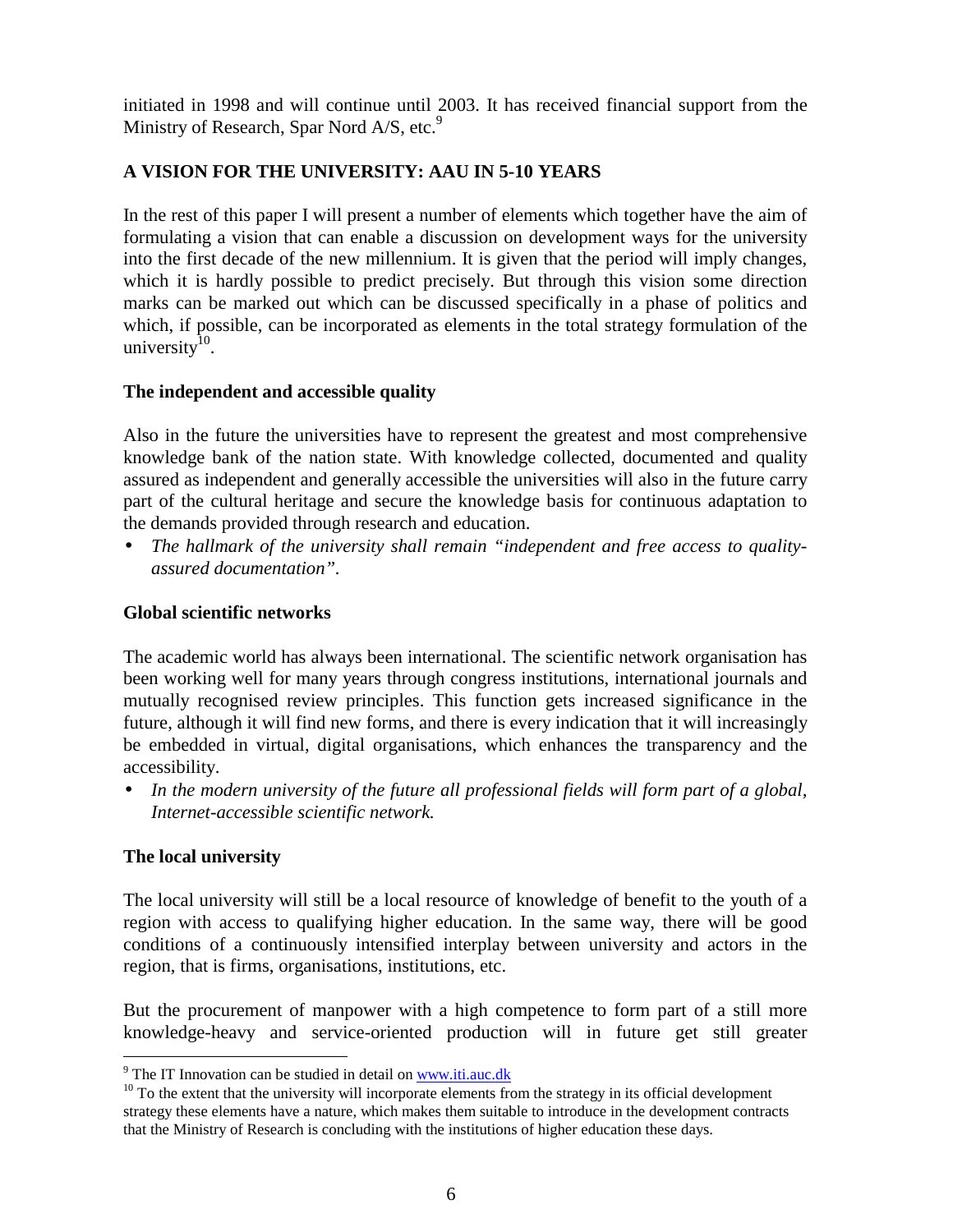initiated in 1998 and will continue until 2003. It has received financial support from the Ministry of Research, Spar Nord  $A/S$ , etc.<sup>9</sup>

# **A VISION FOR THE UNIVERSITY: AAU IN 5-10 YEARS**

In the rest of this paper I will present a number of elements which together have the aim of formulating a vision that can enable a discussion on development ways for the university into the first decade of the new millennium. It is given that the period will imply changes, which it is hardly possible to predict precisely. But through this vision some direction marks can be marked out which can be discussed specifically in a phase of politics and which, if possible, can be incorporated as elements in the total strategy formulation of the university $10$ .

# **The independent and accessible quality**

Also in the future the universities have to represent the greatest and most comprehensive knowledge bank of the nation state. With knowledge collected, documented and quality assured as independent and generally accessible the universities will also in the future carry part of the cultural heritage and secure the knowledge basis for continuous adaptation to the demands provided through research and education.

• *The hallmark of the university shall remain "independent and free access to qualityassured documentation".*

# **Global scientific networks**

The academic world has always been international. The scientific network organisation has been working well for many years through congress institutions, international journals and mutually recognised review principles. This function gets increased significance in the future, although it will find new forms, and there is every indication that it will increasingly be embedded in virtual, digital organisations, which enhances the transparency and the accessibility.

• *In the modern university of the future all professional fields will form part of a global, Internet-accessible scientific network.*

# **The local university**

 $\overline{a}$ 

The local university will still be a local resource of knowledge of benefit to the youth of a region with access to qualifying higher education. In the same way, there will be good conditions of a continuously intensified interplay between university and actors in the region, that is firms, organisations, institutions, etc.

But the procurement of manpower with a high competence to form part of a still more knowledge-heavy and service-oriented production will in future get still greater

<sup>&</sup>lt;sup>9</sup> The IT Innovation can be studied in detail on www.iti.auc.dk

 $10$  To the extent that the university will incorporate elements from the strategy in its official development strategy these elements have a nature, which makes them suitable to introduce in the development contracts that the Ministry of Research is concluding with the institutions of higher education these days.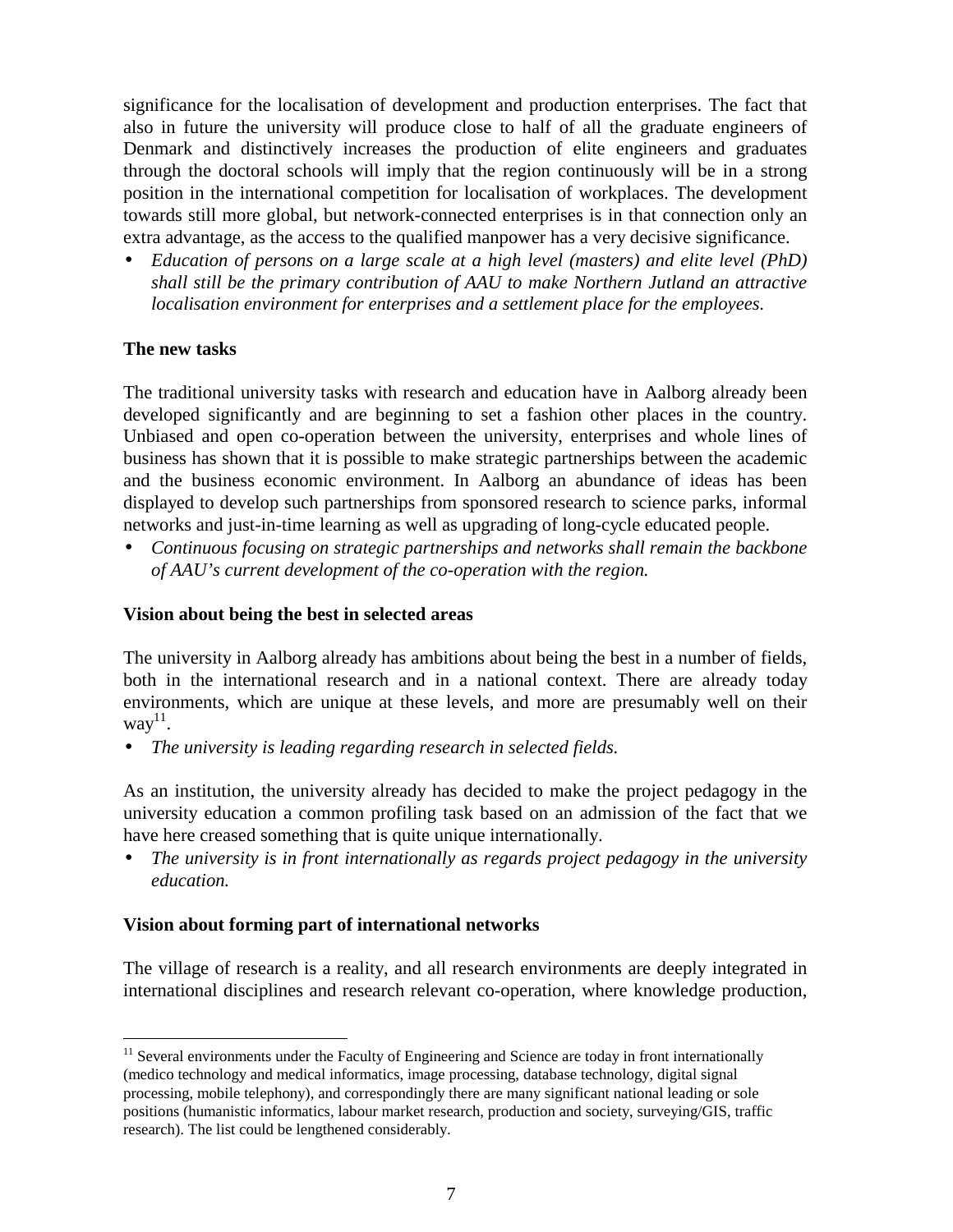significance for the localisation of development and production enterprises. The fact that also in future the university will produce close to half of all the graduate engineers of Denmark and distinctively increases the production of elite engineers and graduates through the doctoral schools will imply that the region continuously will be in a strong position in the international competition for localisation of workplaces. The development towards still more global, but network-connected enterprises is in that connection only an extra advantage, as the access to the qualified manpower has a very decisive significance.

• *Education of persons on a large scale at a high level (masters) and elite level (PhD) shall still be the primary contribution of AAU to make Northern Jutland an attractive localisation environment for enterprises and a settlement place for the employees.*

### **The new tasks**

 $\overline{a}$ 

The traditional university tasks with research and education have in Aalborg already been developed significantly and are beginning to set a fashion other places in the country. Unbiased and open co-operation between the university, enterprises and whole lines of business has shown that it is possible to make strategic partnerships between the academic and the business economic environment. In Aalborg an abundance of ideas has been displayed to develop such partnerships from sponsored research to science parks, informal networks and just-in-time learning as well as upgrading of long-cycle educated people.

• *Continuous focusing on strategic partnerships and networks shall remain the backbone of AAU's current development of the co-operation with the region.*

### **Vision about being the best in selected areas**

The university in Aalborg already has ambitions about being the best in a number of fields, both in the international research and in a national context. There are already today environments, which are unique at these levels, and more are presumably well on their  $way<sup>11</sup>$ .

• *The university is leading regarding research in selected fields.*

As an institution, the university already has decided to make the project pedagogy in the university education a common profiling task based on an admission of the fact that we have here creased something that is quite unique internationally.

• *The university is in front internationally as regards project pedagogy in the university education.*

#### **Vision about forming part of international networks**

The village of research is a reality, and all research environments are deeply integrated in international disciplines and research relevant co-operation, where knowledge production,

 $11$  Several environments under the Faculty of Engineering and Science are today in front internationally (medico technology and medical informatics, image processing, database technology, digital signal processing, mobile telephony), and correspondingly there are many significant national leading or sole positions (humanistic informatics, labour market research, production and society, surveying/GIS, traffic research). The list could be lengthened considerably.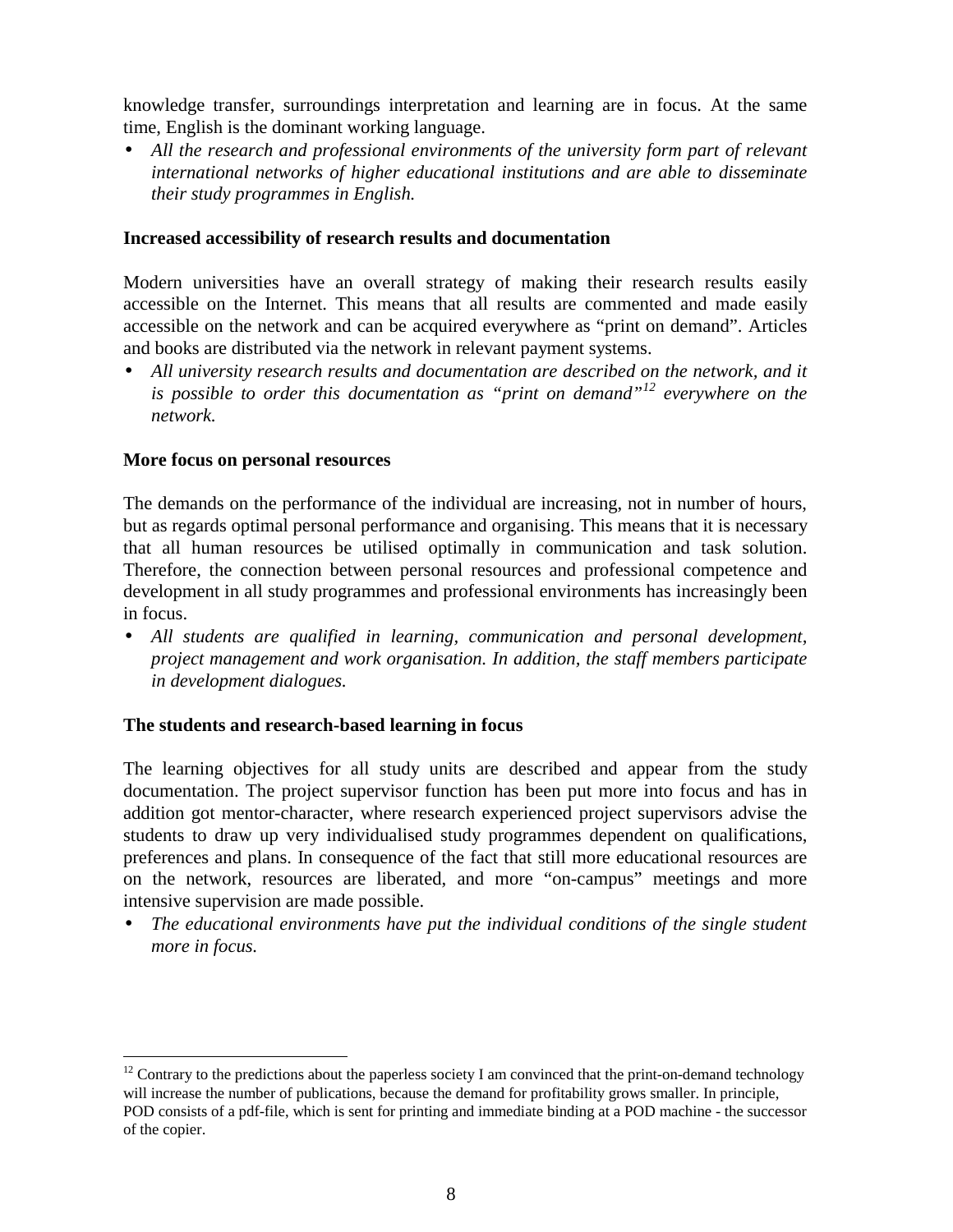knowledge transfer, surroundings interpretation and learning are in focus. At the same time, English is the dominant working language.

• *All the research and professional environments of the university form part of relevant international networks of higher educational institutions and are able to disseminate their study programmes in English.*

### **Increased accessibility of research results and documentation**

Modern universities have an overall strategy of making their research results easily accessible on the Internet. This means that all results are commented and made easily accessible on the network and can be acquired everywhere as "print on demand". Articles and books are distributed via the network in relevant payment systems.

• *All university research results and documentation are described on the network, and it is possible to order this documentation as "print on demand"12 everywhere on the network.*

#### **More focus on personal resources**

 $\overline{a}$ 

The demands on the performance of the individual are increasing, not in number of hours, but as regards optimal personal performance and organising. This means that it is necessary that all human resources be utilised optimally in communication and task solution. Therefore, the connection between personal resources and professional competence and development in all study programmes and professional environments has increasingly been in focus.

• *All students are qualified in learning, communication and personal development, project management and work organisation. In addition, the staff members participate in development dialogues.*

### **The students and research-based learning in focus**

The learning objectives for all study units are described and appear from the study documentation. The project supervisor function has been put more into focus and has in addition got mentor-character, where research experienced project supervisors advise the students to draw up very individualised study programmes dependent on qualifications, preferences and plans. In consequence of the fact that still more educational resources are on the network, resources are liberated, and more "on-campus" meetings and more intensive supervision are made possible.

• *The educational environments have put the individual conditions of the single student more in focus.*

 $12$  Contrary to the predictions about the paperless society I am convinced that the print-on-demand technology will increase the number of publications, because the demand for profitability grows smaller. In principle, POD consists of a pdf-file, which is sent for printing and immediate binding at a POD machine - the successor of the copier.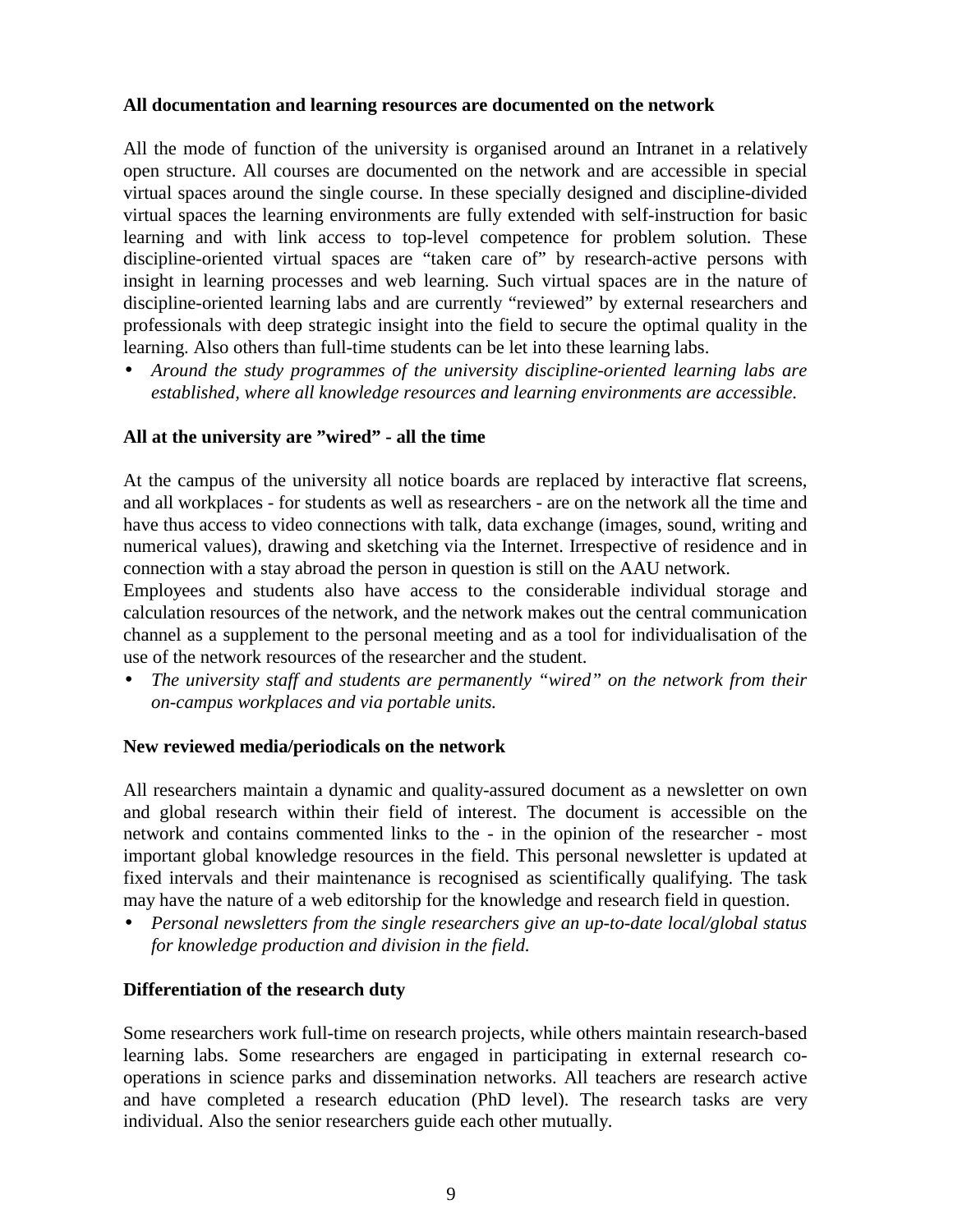# **All documentation and learning resources are documented on the network**

All the mode of function of the university is organised around an Intranet in a relatively open structure. All courses are documented on the network and are accessible in special virtual spaces around the single course. In these specially designed and discipline-divided virtual spaces the learning environments are fully extended with self-instruction for basic learning and with link access to top-level competence for problem solution. These discipline-oriented virtual spaces are "taken care of" by research-active persons with insight in learning processes and web learning. Such virtual spaces are in the nature of discipline-oriented learning labs and are currently "reviewed" by external researchers and professionals with deep strategic insight into the field to secure the optimal quality in the learning. Also others than full-time students can be let into these learning labs.

• *Around the study programmes of the university discipline-oriented learning labs are established, where all knowledge resources and learning environments are accessible.*

### **All at the university are "wired" - all the time**

At the campus of the university all notice boards are replaced by interactive flat screens, and all workplaces - for students as well as researchers - are on the network all the time and have thus access to video connections with talk, data exchange (images, sound, writing and numerical values), drawing and sketching via the Internet. Irrespective of residence and in connection with a stay abroad the person in question is still on the AAU network.

Employees and students also have access to the considerable individual storage and calculation resources of the network, and the network makes out the central communication channel as a supplement to the personal meeting and as a tool for individualisation of the use of the network resources of the researcher and the student.

• *The university staff and students are permanently "wired" on the network from their on-campus workplaces and via portable units.*

### **New reviewed media/periodicals on the network**

All researchers maintain a dynamic and quality-assured document as a newsletter on own and global research within their field of interest. The document is accessible on the network and contains commented links to the - in the opinion of the researcher - most important global knowledge resources in the field. This personal newsletter is updated at fixed intervals and their maintenance is recognised as scientifically qualifying. The task may have the nature of a web editorship for the knowledge and research field in question.

• *Personal newsletters from the single researchers give an up-to-date local/global status for knowledge production and division in the field.*

### **Differentiation of the research duty**

Some researchers work full-time on research projects, while others maintain research-based learning labs. Some researchers are engaged in participating in external research cooperations in science parks and dissemination networks. All teachers are research active and have completed a research education (PhD level). The research tasks are very individual. Also the senior researchers guide each other mutually.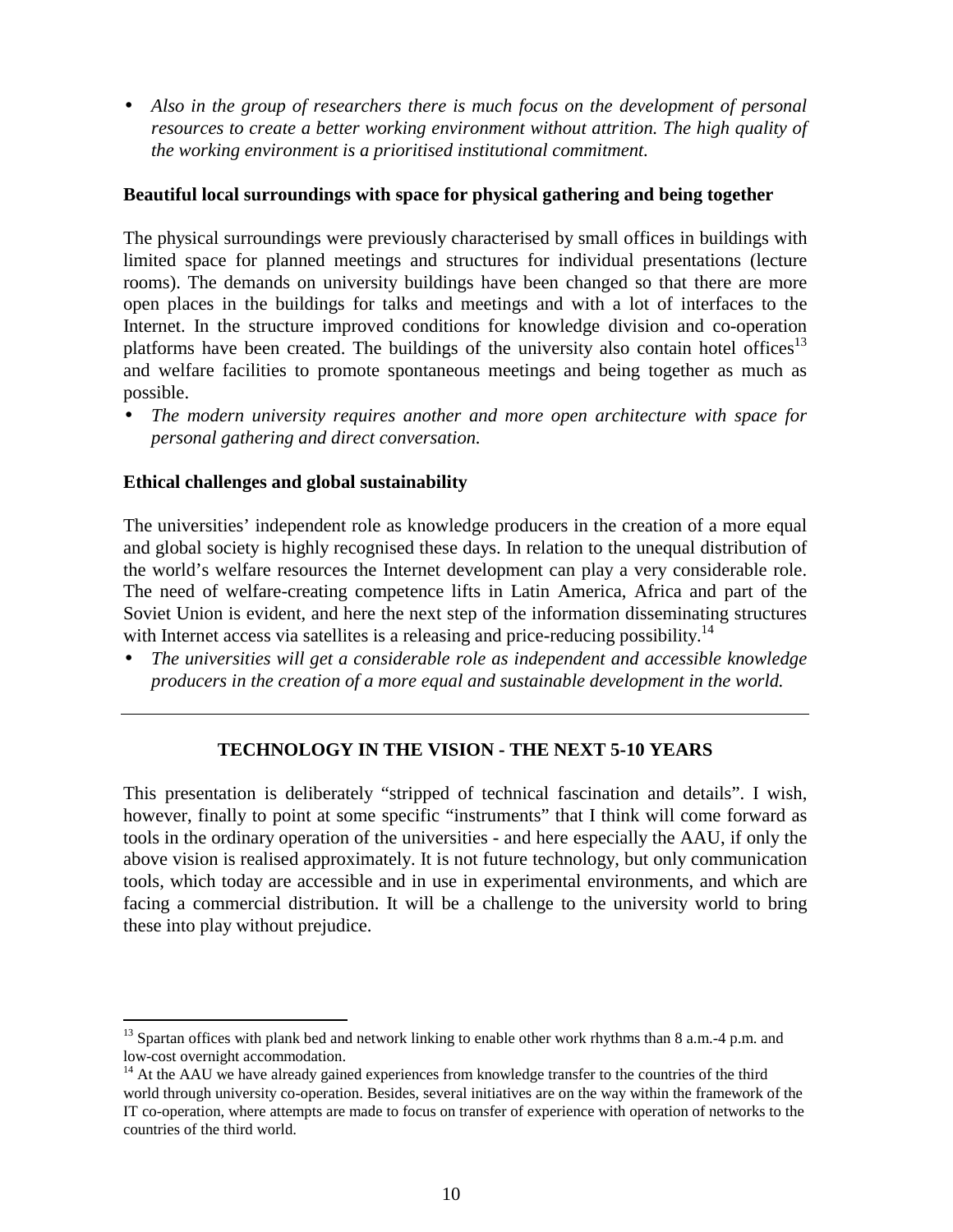• *Also in the group of researchers there is much focus on the development of personal resources to create a better working environment without attrition. The high quality of the working environment is a prioritised institutional commitment.*

# **Beautiful local surroundings with space for physical gathering and being together**

The physical surroundings were previously characterised by small offices in buildings with limited space for planned meetings and structures for individual presentations (lecture rooms). The demands on university buildings have been changed so that there are more open places in the buildings for talks and meetings and with a lot of interfaces to the Internet. In the structure improved conditions for knowledge division and co-operation platforms have been created. The buildings of the university also contain hotel offices<sup>13</sup> and welfare facilities to promote spontaneous meetings and being together as much as possible.

• *The modern university requires another and more open architecture with space for personal gathering and direct conversation.*

# **Ethical challenges and global sustainability**

 $\overline{a}$ 

The universities' independent role as knowledge producers in the creation of a more equal and global society is highly recognised these days. In relation to the unequal distribution of the world's welfare resources the Internet development can play a very considerable role. The need of welfare-creating competence lifts in Latin America, Africa and part of the Soviet Union is evident, and here the next step of the information disseminating structures with Internet access via satellites is a releasing and price-reducing possibility.<sup>14</sup>

• *The universities will get a considerable role as independent and accessible knowledge producers in the creation of a more equal and sustainable development in the world.*

### **TECHNOLOGY IN THE VISION - THE NEXT 5-10 YEARS**

This presentation is deliberately "stripped of technical fascination and details". I wish, however, finally to point at some specific "instruments" that I think will come forward as tools in the ordinary operation of the universities - and here especially the AAU, if only the above vision is realised approximately. It is not future technology, but only communication tools, which today are accessible and in use in experimental environments, and which are facing a commercial distribution. It will be a challenge to the university world to bring these into play without prejudice.

<sup>&</sup>lt;sup>13</sup> Spartan offices with plank bed and network linking to enable other work rhythms than 8 a.m. -4 p.m. and low-cost overnight accommodation.

<sup>&</sup>lt;sup>14</sup> At the AAU we have already gained experiences from knowledge transfer to the countries of the third world through university co-operation. Besides, several initiatives are on the way within the framework of the IT co-operation, where attempts are made to focus on transfer of experience with operation of networks to the countries of the third world.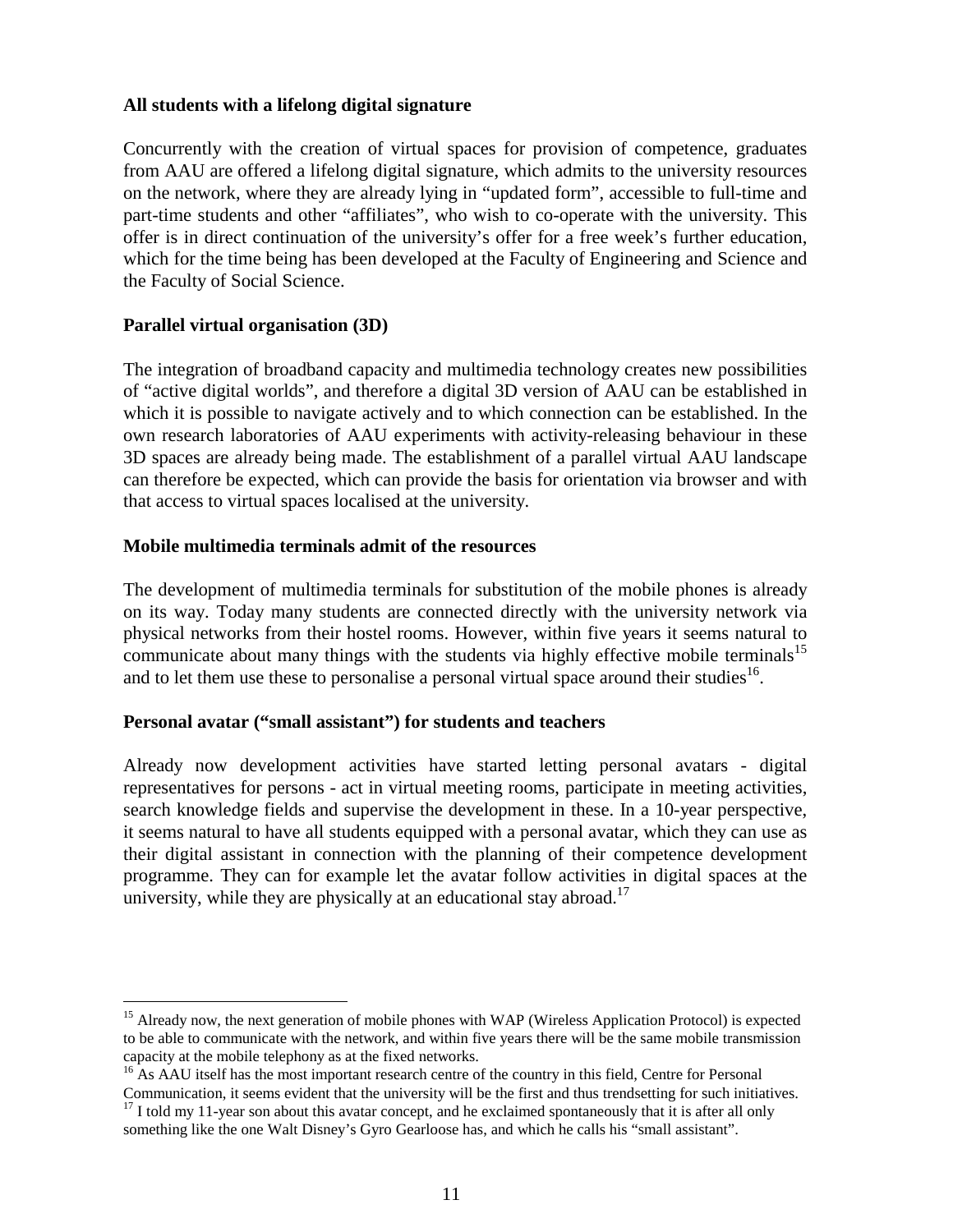# **All students with a lifelong digital signature**

Concurrently with the creation of virtual spaces for provision of competence, graduates from AAU are offered a lifelong digital signature, which admits to the university resources on the network, where they are already lying in "updated form", accessible to full-time and part-time students and other "affiliates", who wish to co-operate with the university. This offer is in direct continuation of the university's offer for a free week's further education, which for the time being has been developed at the Faculty of Engineering and Science and the Faculty of Social Science.

# **Parallel virtual organisation (3D)**

 $\overline{a}$ 

The integration of broadband capacity and multimedia technology creates new possibilities of "active digital worlds", and therefore a digital 3D version of AAU can be established in which it is possible to navigate actively and to which connection can be established. In the own research laboratories of AAU experiments with activity-releasing behaviour in these 3D spaces are already being made. The establishment of a parallel virtual AAU landscape can therefore be expected, which can provide the basis for orientation via browser and with that access to virtual spaces localised at the university.

### **Mobile multimedia terminals admit of the resources**

The development of multimedia terminals for substitution of the mobile phones is already on its way. Today many students are connected directly with the university network via physical networks from their hostel rooms. However, within five years it seems natural to communicate about many things with the students via highly effective mobile terminals<sup>15</sup> and to let them use these to personalise a personal virtual space around their studies<sup>16</sup>.

### **Personal avatar ("small assistant") for students and teachers**

Already now development activities have started letting personal avatars - digital representatives for persons - act in virtual meeting rooms, participate in meeting activities, search knowledge fields and supervise the development in these. In a 10-year perspective, it seems natural to have all students equipped with a personal avatar, which they can use as their digital assistant in connection with the planning of their competence development programme. They can for example let the avatar follow activities in digital spaces at the university, while they are physically at an educational stay abroad.<sup>17</sup>

<sup>&</sup>lt;sup>15</sup> Already now, the next generation of mobile phones with WAP (Wireless Application Protocol) is expected to be able to communicate with the network, and within five years there will be the same mobile transmission capacity at the mobile telephony as at the fixed networks.

<sup>&</sup>lt;sup>16</sup> As AAU itself has the most important research centre of the country in this field, Centre for Personal Communication, it seems evident that the university will be the first and thus trendsetting for such initiatives.

 $17$  I told my 11-year son about this avatar concept, and he exclaimed spontaneously that it is after all only

something like the one Walt Disney's Gyro Gearloose has, and which he calls his "small assistant".